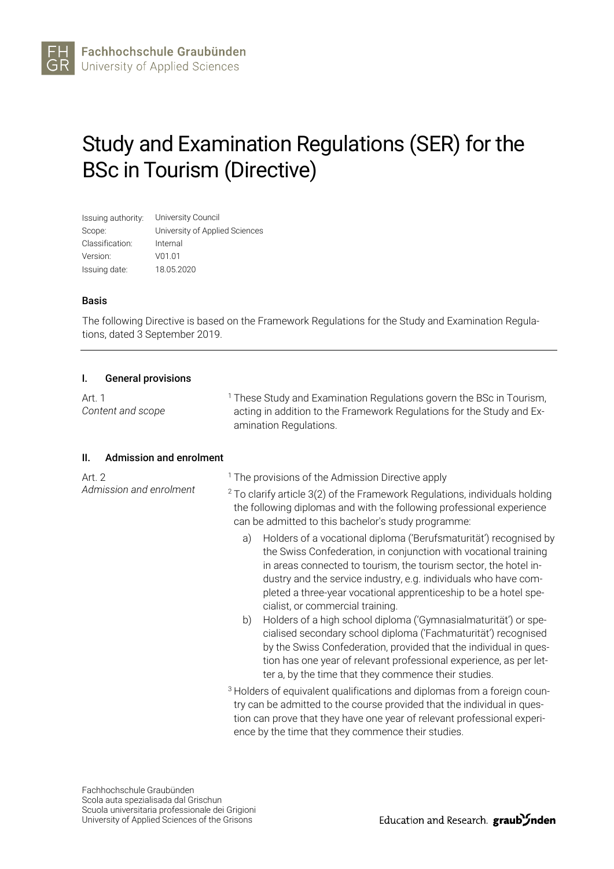# Study and Examination Regulations (SER) for the BSc in Tourism (Directive)

| Issuing authority: | University Council             |
|--------------------|--------------------------------|
| Scope:             | University of Applied Sciences |
| Classification:    | Internal                       |
| Version:           | V01.01                         |
| Issuing date:      | 18.05.2020                     |

### Basis

The following Directive is based on the Framework Regulations for the Study and Examination Regulations, dated 3 September 2019.

### I. General provisions

| Art. 1<br>Content and scope           | <sup>1</sup> These Study and Examination Regulations govern the BSc in Tourism,<br>acting in addition to the Framework Regulations for the Study and Ex-<br>amination Regulations.                                                                                                                                                                                                         |  |  |  |
|---------------------------------------|--------------------------------------------------------------------------------------------------------------------------------------------------------------------------------------------------------------------------------------------------------------------------------------------------------------------------------------------------------------------------------------------|--|--|--|
| <b>Admission and enrolment</b><br>II. |                                                                                                                                                                                                                                                                                                                                                                                            |  |  |  |
| Art. 2<br>Admission and enrolment     | <sup>1</sup> The provisions of the Admission Directive apply                                                                                                                                                                                                                                                                                                                               |  |  |  |
|                                       | $2$ To clarify article 3(2) of the Framework Regulations, individuals holding<br>the following diplomas and with the following professional experience<br>can be admitted to this bachelor's study programme:                                                                                                                                                                              |  |  |  |
|                                       | Holders of a vocational diploma ('Berufsmaturität') recognised by<br>a)<br>the Swiss Confederation, in conjunction with vocational training<br>in areas connected to tourism, the tourism sector, the hotel in-<br>dustry and the service industry, e.g. individuals who have com-<br>pleted a three-year vocational apprenticeship to be a hotel spe-<br>cialist, or commercial training. |  |  |  |
|                                       | Holders of a high school diploma ('Gymnasialmaturität') or spe-<br>b)<br>cialised secondary school diploma ('Fachmaturität') recognised<br>by the Swiss Confederation, provided that the individual in ques-<br>tion has one year of relevant professional experience, as per let-<br>ter a, by the time that they commence their studies.                                                 |  |  |  |
|                                       | <sup>3</sup> Holders of equivalent qualifications and diplomas from a foreign coun-<br>try can be admitted to the course provided that the individual in ques-<br>tion can prove that they have one year of relevant professional experi-<br>ence by the time that they commence their studies.                                                                                            |  |  |  |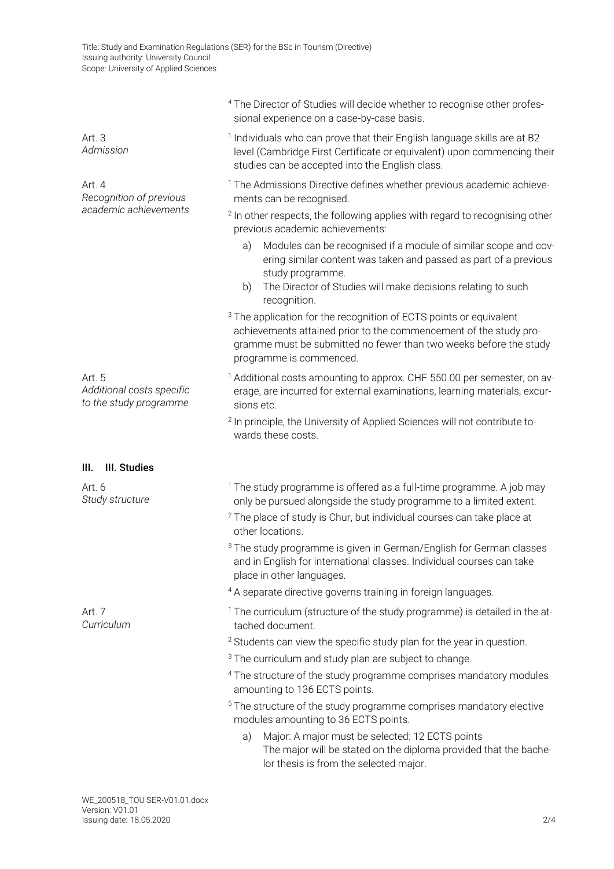|                                                               | <sup>4</sup> The Director of Studies will decide whether to recognise other profes-<br>sional experience on a case-by-case basis.                                                                                                                   |  |  |  |  |  |
|---------------------------------------------------------------|-----------------------------------------------------------------------------------------------------------------------------------------------------------------------------------------------------------------------------------------------------|--|--|--|--|--|
| Art. 3<br>Admission                                           | <sup>1</sup> Individuals who can prove that their English language skills are at B2<br>level (Cambridge First Certificate or equivalent) upon commencing their<br>studies can be accepted into the English class.                                   |  |  |  |  |  |
| Art. 4<br>Recognition of previous                             | <sup>1</sup> The Admissions Directive defines whether previous academic achieve-<br>ments can be recognised.                                                                                                                                        |  |  |  |  |  |
| academic achievements                                         | <sup>2</sup> In other respects, the following applies with regard to recognising other<br>previous academic achievements:                                                                                                                           |  |  |  |  |  |
|                                                               | Modules can be recognised if a module of similar scope and cov-<br>a)<br>ering similar content was taken and passed as part of a previous<br>study programme.<br>The Director of Studies will make decisions relating to such<br>b)<br>recognition. |  |  |  |  |  |
|                                                               | <sup>3</sup> The application for the recognition of ECTS points or equivalent<br>achievements attained prior to the commencement of the study pro-<br>gramme must be submitted no fewer than two weeks before the study<br>programme is commenced.  |  |  |  |  |  |
| Art. 5<br>Additional costs specific<br>to the study programme | <sup>1</sup> Additional costs amounting to approx. CHF 550.00 per semester, on av-<br>erage, are incurred for external examinations, learning materials, excur-<br>sions etc.                                                                       |  |  |  |  |  |
|                                                               | <sup>2</sup> In principle, the University of Applied Sciences will not contribute to-<br>wards these costs.                                                                                                                                         |  |  |  |  |  |
| III. Studies<br>III.                                          |                                                                                                                                                                                                                                                     |  |  |  |  |  |
| Art. 6<br>Study structure                                     | <sup>1</sup> The study programme is offered as a full-time programme. A job may<br>only be pursued alongside the study programme to a limited extent.                                                                                               |  |  |  |  |  |
|                                                               | <sup>2</sup> The place of study is Chur, but individual courses can take place at<br>other locations.                                                                                                                                               |  |  |  |  |  |
|                                                               | <sup>3</sup> The study programme is given in German/English for German classes<br>and in English for international classes. Individual courses can take<br>place in other languages.                                                                |  |  |  |  |  |
|                                                               | <sup>4</sup> A separate directive governs training in foreign languages.                                                                                                                                                                            |  |  |  |  |  |
| Art. 7<br>Curriculum                                          | <sup>1</sup> The curriculum (structure of the study programme) is detailed in the at-<br>tached document.                                                                                                                                           |  |  |  |  |  |
|                                                               | <sup>2</sup> Students can view the specific study plan for the year in question.                                                                                                                                                                    |  |  |  |  |  |
|                                                               | <sup>3</sup> The curriculum and study plan are subject to change.                                                                                                                                                                                   |  |  |  |  |  |
|                                                               | <sup>4</sup> The structure of the study programme comprises mandatory modules<br>amounting to 136 ECTS points.                                                                                                                                      |  |  |  |  |  |
|                                                               | <sup>5</sup> The structure of the study programme comprises mandatory elective<br>modules amounting to 36 ECTS points.                                                                                                                              |  |  |  |  |  |
|                                                               | Major: A major must be selected: 12 ECTS points<br>a)<br>The major will be stated on the diploma provided that the bache-<br>lor thesis is from the selected major.                                                                                 |  |  |  |  |  |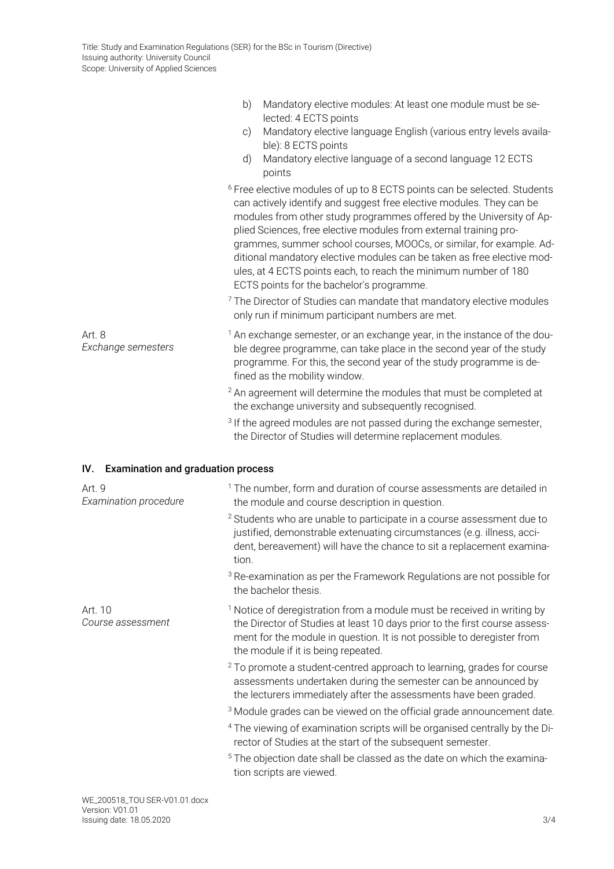|                                                  | b)<br>Mandatory elective modules: At least one module must be se-<br>lected: 4 ECTS points                                                                                                                                                                                                                                                                                                                                                                                                                                                                                                                                                                                                                        |
|--------------------------------------------------|-------------------------------------------------------------------------------------------------------------------------------------------------------------------------------------------------------------------------------------------------------------------------------------------------------------------------------------------------------------------------------------------------------------------------------------------------------------------------------------------------------------------------------------------------------------------------------------------------------------------------------------------------------------------------------------------------------------------|
|                                                  | Mandatory elective language English (various entry levels availa-<br>$\circ$ )<br>ble): 8 ECTS points                                                                                                                                                                                                                                                                                                                                                                                                                                                                                                                                                                                                             |
|                                                  | Mandatory elective language of a second language 12 ECTS<br>d)<br>points                                                                                                                                                                                                                                                                                                                                                                                                                                                                                                                                                                                                                                          |
|                                                  | <sup>6</sup> Free elective modules of up to 8 ECTS points can be selected. Students<br>can actively identify and suggest free elective modules. They can be<br>modules from other study programmes offered by the University of Ap-<br>plied Sciences, free elective modules from external training pro-<br>grammes, summer school courses, MOOCs, or similar, for example. Ad-<br>ditional mandatory elective modules can be taken as free elective mod-<br>ules, at 4 ECTS points each, to reach the minimum number of 180<br>ECTS points for the bachelor's programme.<br><sup>7</sup> The Director of Studies can mandate that mandatory elective modules<br>only run if minimum participant numbers are met. |
| Art. 8<br>Exchange semesters                     | <sup>1</sup> An exchange semester, or an exchange year, in the instance of the dou-<br>ble degree programme, can take place in the second year of the study<br>programme. For this, the second year of the study programme is de-<br>fined as the mobility window.                                                                                                                                                                                                                                                                                                                                                                                                                                                |
|                                                  | <sup>2</sup> An agreement will determine the modules that must be completed at<br>the exchange university and subsequently recognised.                                                                                                                                                                                                                                                                                                                                                                                                                                                                                                                                                                            |
|                                                  | <sup>3</sup> If the agreed modules are not passed during the exchange semester,<br>the Director of Studies will determine replacement modules.                                                                                                                                                                                                                                                                                                                                                                                                                                                                                                                                                                    |
| <b>Examination and graduation process</b><br>IV. |                                                                                                                                                                                                                                                                                                                                                                                                                                                                                                                                                                                                                                                                                                                   |
| Art. 9<br>Examination procedure                  | <sup>1</sup> The number, form and duration of course assessments are detailed in<br>the module and course description in question.                                                                                                                                                                                                                                                                                                                                                                                                                                                                                                                                                                                |
|                                                  | <sup>2</sup> Students who are unable to participate in a course assessment due to<br>justified, demonstrable extenuating circumstances (e.g. illness, acci-<br>dent, bereavement) will have the chance to sit a replacement examina-<br>tion.                                                                                                                                                                                                                                                                                                                                                                                                                                                                     |
|                                                  | <sup>3</sup> Re-examination as per the Framework Regulations are not possible for<br>the bachelor thesis.                                                                                                                                                                                                                                                                                                                                                                                                                                                                                                                                                                                                         |
| Art. 10<br>Course assessment                     | <sup>1</sup> Notice of deregistration from a module must be received in writing by<br>the Director of Studies at least 10 days prior to the first course assess-<br>ment for the module in question. It is not possible to deregister from<br>the module if it is being repeated.                                                                                                                                                                                                                                                                                                                                                                                                                                 |
|                                                  | <sup>2</sup> To promote a student-centred approach to learning, grades for course<br>assessments undertaken during the semester can be announced by<br>the lecturers immediately after the assessments have been graded.                                                                                                                                                                                                                                                                                                                                                                                                                                                                                          |
|                                                  | <sup>3</sup> Module grades can be viewed on the official grade announcement date.                                                                                                                                                                                                                                                                                                                                                                                                                                                                                                                                                                                                                                 |
|                                                  | <sup>4</sup> The viewing of examination scripts will be organised centrally by the Di-<br>rector of Studies at the start of the subsequent semester.                                                                                                                                                                                                                                                                                                                                                                                                                                                                                                                                                              |
|                                                  | <sup>5</sup> The objection date shall be classed as the date on which the examina-<br>tion scripts are viewed.                                                                                                                                                                                                                                                                                                                                                                                                                                                                                                                                                                                                    |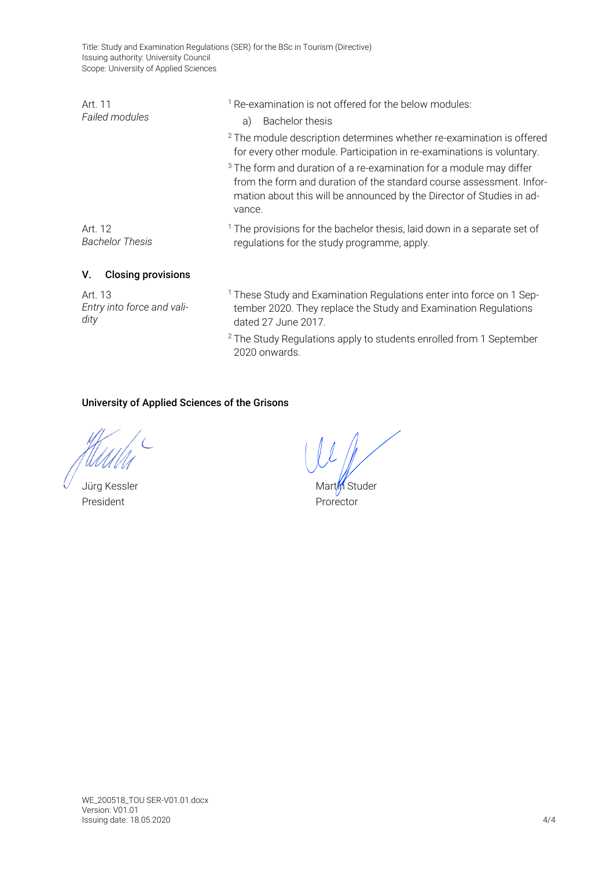Title: Study and Examination Regulations (SER) for the BSc in Tourism (Directive) Issuing authority: University Council Scope: University of Applied Sciences

| Art. 11<br>Failed modules         | <sup>1</sup> Re-examination is not offered for the below modules:<br><b>Bachelor thesis</b><br>a)                                                                                                                                         |  |  |  |  |
|-----------------------------------|-------------------------------------------------------------------------------------------------------------------------------------------------------------------------------------------------------------------------------------------|--|--|--|--|
|                                   | <sup>2</sup> The module description determines whether re-examination is offered<br>for every other module. Participation in re-examinations is voluntary.                                                                                |  |  |  |  |
|                                   | <sup>3</sup> The form and duration of a re-examination for a module may differ<br>from the form and duration of the standard course assessment. Infor-<br>mation about this will be announced by the Director of Studies in ad-<br>vance. |  |  |  |  |
| Art. 12<br><b>Bachelor Thesis</b> | <sup>1</sup> The provisions for the bachelor thesis, laid down in a separate set of<br>regulations for the study programme, apply.                                                                                                        |  |  |  |  |
| <b>Closing provisions</b><br>V.   |                                                                                                                                                                                                                                           |  |  |  |  |
| $\lambda$ $\lambda$               |                                                                                                                                                                                                                                           |  |  |  |  |

Art. 13 *Entry into force and validity*

<sup>1</sup> These Study and Examination Regulations enter into force on 1 September 2020. They replace the Study and Examination Regulations dated 27 June 2017.

<sup>2</sup> The Study Regulations apply to students enrolled from 1 September 2020 onwards.

# University of Applied Sciences of the Grisons

President **President** Profector

Jürg Kessler Martin Studer Martin Studer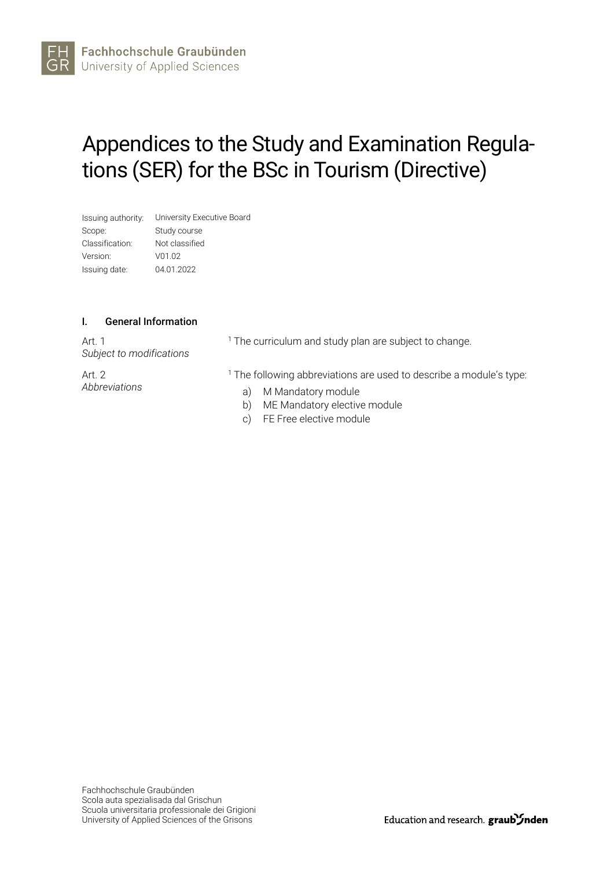# Appendices to the Study and Examination Regulations (SER) for the BSc in Tourism (Directive)

| Issuing authority: | University Executive Board |
|--------------------|----------------------------|
| Scope:             | Study course               |
| Classification:    | Not classified             |
| Version:           | V01.02                     |
| Issuing date:      | 04.01.2022                 |

### I. General Information

Art. 1 *Subject to modifications*

Art. 2 *Abbreviations* <sup>1</sup> The curriculum and study plan are subject to change.

<sup>1</sup> The following abbreviations are used to describe a module's type:

- a) M Mandatory module
- b) ME Mandatory elective module
- c) FE Free elective module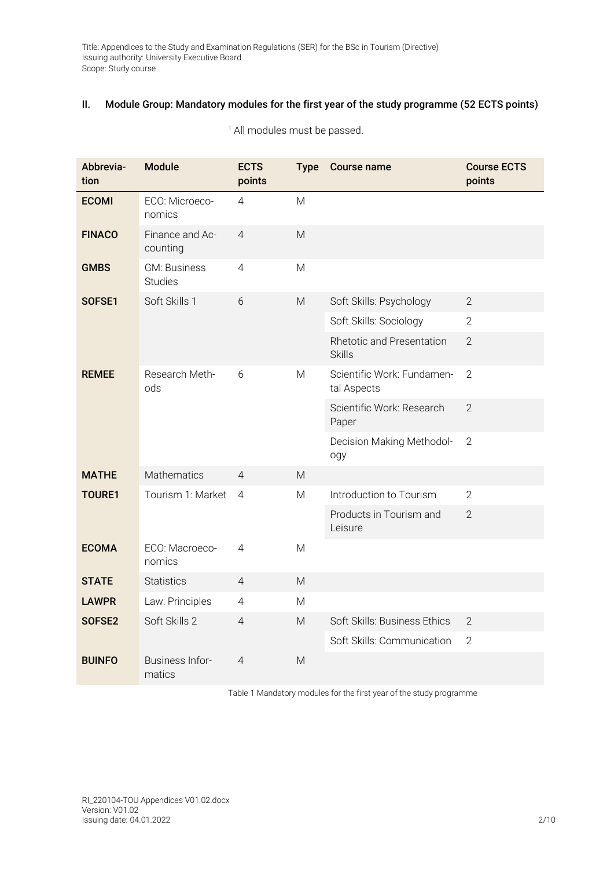# II. Module Group: Mandatory modules for the first year of the study programme (52 ECTS points)

| Abbrevia-<br>tion | <b>Module</b>                            | <b>ECTS</b><br>points | <b>Type</b>                                                                                                | <b>Course name</b>                         | <b>Course ECTS</b><br>points |
|-------------------|------------------------------------------|-----------------------|------------------------------------------------------------------------------------------------------------|--------------------------------------------|------------------------------|
| <b>ECOMI</b>      | ECO: Microeco-<br>nomics                 | 4                     | M                                                                                                          |                                            |                              |
| <b>FINACO</b>     | Finance and Ac-<br>counting              | $\overline{4}$        | M                                                                                                          |                                            |                              |
| <b>GMBS</b>       | <b>GM: Business</b><br><b>Studies</b>    | $\overline{4}$        | M                                                                                                          |                                            |                              |
| SOFSE1            | Soft Skills 1                            | 6                     | $\mathsf{M}% _{T}=\mathsf{M}_{T}\!\left( a,b\right) ,\ \mathsf{M}_{T}=\mathsf{M}_{T}\!\left( a,b\right) ,$ | Soft Skills: Psychology                    | $\overline{2}$               |
|                   |                                          |                       |                                                                                                            | Soft Skills: Sociology                     | $\overline{2}$               |
|                   |                                          |                       |                                                                                                            | Rhetotic and Presentation<br><b>Skills</b> | $\overline{2}$               |
| <b>REMEE</b>      | Research Meth-<br>ods                    | 6                     | M                                                                                                          | Scientific Work: Fundamen-<br>tal Aspects  | $\overline{2}$               |
|                   |                                          |                       |                                                                                                            | Scientific Work: Research<br>Paper         | $\overline{2}$               |
|                   |                                          |                       |                                                                                                            | Decision Making Methodol-<br>ogy           | $\overline{2}$               |
| <b>MATHE</b>      | Mathematics                              | $\overline{4}$        | M                                                                                                          |                                            |                              |
| <b>TOURE1</b>     | Tourism 1: Market<br>$\overline{4}$<br>M |                       |                                                                                                            | Introduction to Tourism                    | $\overline{2}$               |
|                   |                                          |                       | Products in Tourism and<br>Leisure                                                                         | $\overline{2}$                             |                              |
| <b>ECOMA</b>      | ECO: Macroeco-<br>nomics                 | 4                     | M                                                                                                          |                                            |                              |
| <b>STATE</b>      | <b>Statistics</b>                        | $\overline{4}$        | $\mathsf{M}$                                                                                               |                                            |                              |
| <b>LAWPR</b>      | Law: Principles                          | 4                     | M                                                                                                          |                                            |                              |
| SOFSE2            | Soft Skills 2                            | 4                     | M                                                                                                          | Soft Skills: Business Ethics               | $\overline{2}$               |
|                   |                                          |                       |                                                                                                            | Soft Skills: Communication                 | $\overline{2}$               |
| <b>BUINFO</b>     | Business Infor-<br>matics                | 4                     | M                                                                                                          |                                            |                              |

<sup>1</sup> All modules must be passed.

Table 1 Mandatory modules for the first year of the study programme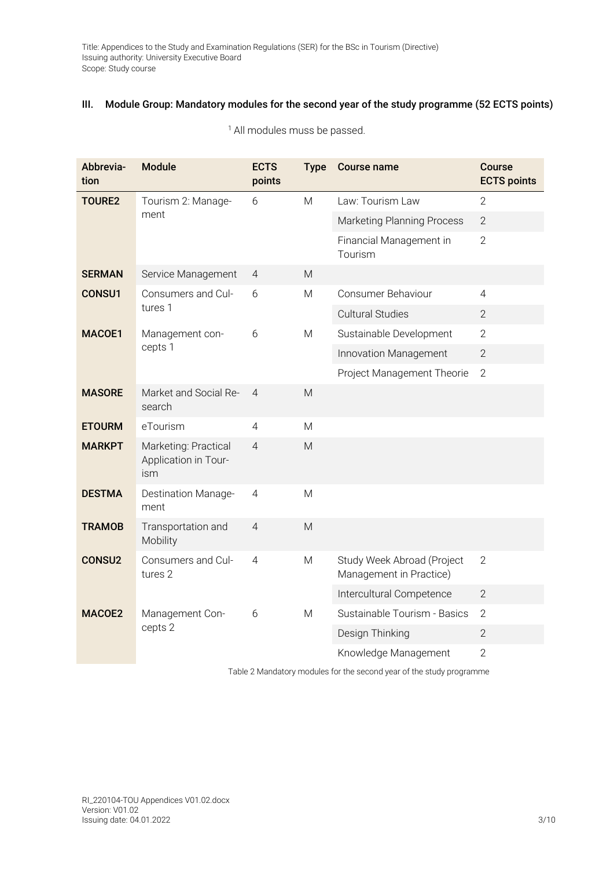# III. Module Group: Mandatory modules for the second year of the study programme (52 ECTS points)

| Abbrevia-<br>tion | <b>Module</b>                                       | <b>ECTS</b><br>points | <b>Type</b> | <b>Course name</b>                                    | <b>Course</b><br><b>ECTS points</b> |
|-------------------|-----------------------------------------------------|-----------------------|-------------|-------------------------------------------------------|-------------------------------------|
| <b>TOURE2</b>     | Tourism 2: Manage-                                  | 6                     | M           | Law: Tourism Law                                      | $\overline{2}$                      |
|                   | ment                                                |                       |             | <b>Marketing Planning Process</b>                     | $\overline{2}$                      |
|                   |                                                     |                       |             | Financial Management in<br>Tourism                    | $\overline{2}$                      |
| <b>SERMAN</b>     | Service Management                                  | $\overline{4}$        | M           |                                                       |                                     |
| <b>CONSU1</b>     | Consumers and Cul-                                  | 6                     | M           | <b>Consumer Behaviour</b>                             | 4                                   |
|                   | tures 1                                             |                       |             | <b>Cultural Studies</b>                               | $\overline{2}$                      |
| MACOE1            | Management con-                                     | 6                     | M           | Sustainable Development                               | $\overline{2}$                      |
|                   | cepts 1                                             |                       |             | Innovation Management                                 | $\mathbf{2}$                        |
|                   |                                                     |                       |             | Project Management Theorie                            | $\overline{2}$                      |
| <b>MASORE</b>     | Market and Social Re-<br>search                     | $\overline{4}$        | M           |                                                       |                                     |
| <b>ETOURM</b>     | eTourism                                            | 4                     | M           |                                                       |                                     |
| <b>MARKPT</b>     | Marketing: Practical<br>Application in Tour-<br>ism | $\overline{4}$        | M           |                                                       |                                     |
| <b>DESTMA</b>     | <b>Destination Manage-</b><br>ment                  | $\overline{4}$        | M           |                                                       |                                     |
| <b>TRAMOB</b>     | Transportation and<br>Mobility                      | $\overline{4}$        | M           |                                                       |                                     |
| <b>CONSU2</b>     | Consumers and Cul-<br>tures 2                       | $\overline{4}$        | M           | Study Week Abroad (Project<br>Management in Practice) | $\overline{2}$                      |
|                   |                                                     |                       |             | Intercultural Competence                              | $\overline{2}$                      |
| MACOE2            | Management Con-                                     | 6                     | M           | Sustainable Tourism - Basics                          | $\overline{2}$                      |
|                   | cepts 2                                             |                       |             | Design Thinking                                       | $\overline{2}$                      |
|                   |                                                     |                       |             | Knowledge Management                                  | $\overline{2}$                      |

<sup>1</sup> All modules muss be passed.

Table 2 Mandatory modules for the second year of the study programme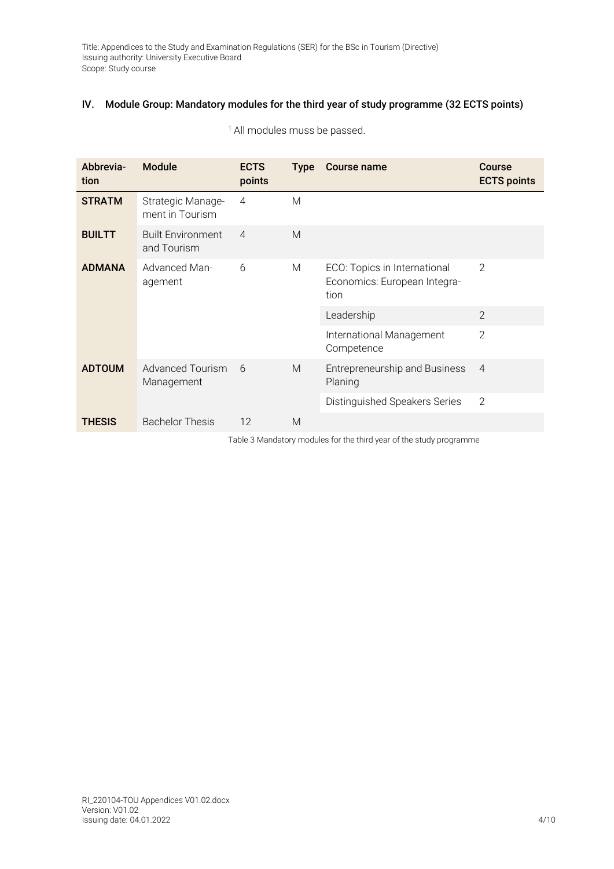# IV. Module Group: Mandatory modules for the third year of study programme (32 ECTS points)

| Abbrevia-<br>tion | <b>Module</b>                           | <b>ECTS</b><br>points | <b>Type</b> | Course name                                                          | <b>Course</b><br><b>ECTS points</b> |
|-------------------|-----------------------------------------|-----------------------|-------------|----------------------------------------------------------------------|-------------------------------------|
| <b>STRATM</b>     | Strategic Manage-<br>ment in Tourism    | $\overline{4}$        | M           |                                                                      |                                     |
| <b>BUILTT</b>     | <b>Built Environment</b><br>and Tourism | $\overline{4}$        | M           |                                                                      |                                     |
| <b>ADMANA</b>     | <b>Advanced Man-</b><br>agement         | 6                     | M           | ECO: Topics in International<br>Economics: European Integra-<br>tion | 2                                   |
|                   |                                         |                       |             | Leadership                                                           | $\overline{2}$                      |
|                   |                                         |                       |             | International Management<br>Competence                               | $\overline{2}$                      |
| <b>ADTOUM</b>     | Advanced Tourism<br>Management          | 6                     | M           | Entrepreneurship and Business<br>Planing                             | $\overline{4}$                      |
|                   |                                         |                       |             | Distinguished Speakers Series                                        | 2                                   |
| <b>THESIS</b>     | <b>Bachelor Thesis</b>                  | 12                    | M           |                                                                      |                                     |

<sup>1</sup> All modules muss be passed.

Table 3 Mandatory modules for the third year of the study programme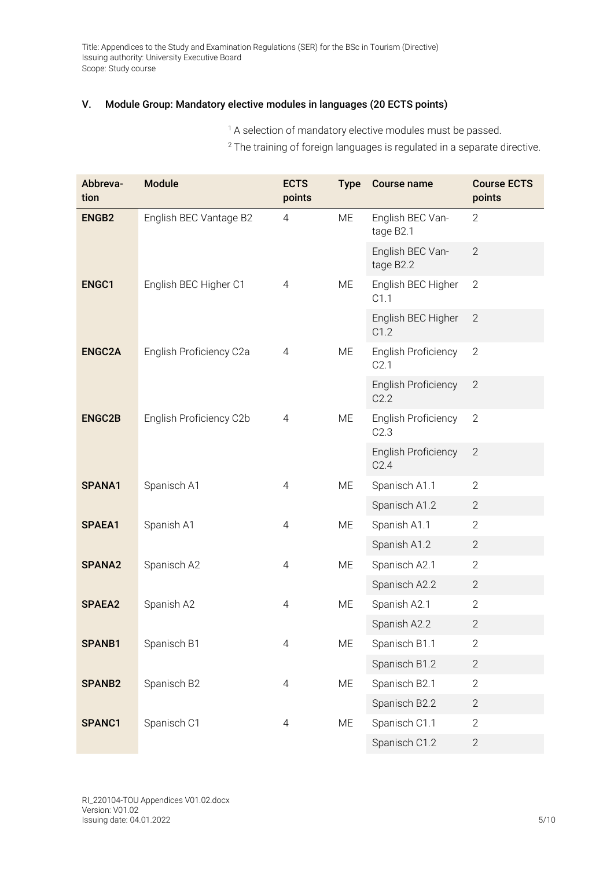## V. Module Group: Mandatory elective modules in languages (20 ECTS points)

<sup>1</sup> A selection of mandatory elective modules must be passed.

<sup>2</sup> The training of foreign languages is regulated in a separate directive.

| Abbreva-<br>tion  | <b>Module</b>           | <b>ECTS</b><br>points | <b>Type</b> | <b>Course name</b>                 | <b>Course ECTS</b><br>points |
|-------------------|-------------------------|-----------------------|-------------|------------------------------------|------------------------------|
| ENGB <sub>2</sub> | English BEC Vantage B2  | 4                     | ME          | English BEC Van-<br>tage B2.1      | $\overline{2}$               |
|                   |                         |                       |             | English BEC Van-<br>tage B2.2      | $\overline{2}$               |
| <b>ENGC1</b>      | English BEC Higher C1   | 4                     | ME          | English BEC Higher<br>C1.1         | $\overline{2}$               |
|                   |                         |                       |             | English BEC Higher<br>C1.2         | 2                            |
| <b>ENGC2A</b>     | English Proficiency C2a | $\overline{4}$        | ME          | <b>English Proficiency</b><br>C2.1 | $\mathbf{2}$                 |
|                   |                         |                       |             | <b>English Proficiency</b><br>C2.2 | $\mathbf{2}$                 |
| <b>ENGC2B</b>     | English Proficiency C2b | $\overline{4}$        | ME          | English Proficiency<br>C2.3        | $\overline{2}$               |
|                   |                         |                       |             | <b>English Proficiency</b><br>C2.4 | $\overline{2}$               |
| SPANA1            | Spanisch A1             | $\overline{4}$        | ME          | Spanisch A1.1                      | $\overline{2}$               |
|                   |                         |                       |             | Spanisch A1.2                      | $\overline{2}$               |
| SPAEA1            | Spanish A1              | $\overline{4}$        | ME          | Spanish A1.1                       | $\overline{2}$               |
|                   |                         |                       |             | Spanish A1.2                       | $\overline{2}$               |
| SPANA2            | Spanisch A2             | $\overline{4}$        | ME          | Spanisch A2.1                      | $\overline{2}$               |
|                   |                         |                       |             | Spanisch A2.2                      | $\overline{2}$               |
| SPAEA2            | Spanish A2              | $\overline{4}$        | ME          | Spanish A2.1                       | $\overline{2}$               |
|                   |                         |                       |             | Spanish A2.2                       | $\overline{2}$               |
| SPANB1            | Spanisch B1             | $\overline{4}$        | ME          | Spanisch B1.1                      | $\mathbf{2}$                 |
|                   |                         |                       |             | Spanisch B1.2                      | $\mathbf{2}$                 |
| SPANB2            | Spanisch B2             | $\overline{4}$        | ME          | Spanisch B2.1                      | $\overline{2}$               |
|                   |                         |                       |             | Spanisch B2.2                      | $\overline{2}$               |
| SPANC1            | Spanisch C1             | $\overline{4}$        | ME          | Spanisch C1.1                      | $\mathbf{2}$                 |
|                   |                         |                       |             | Spanisch C1.2                      | $\mathbf{2}$                 |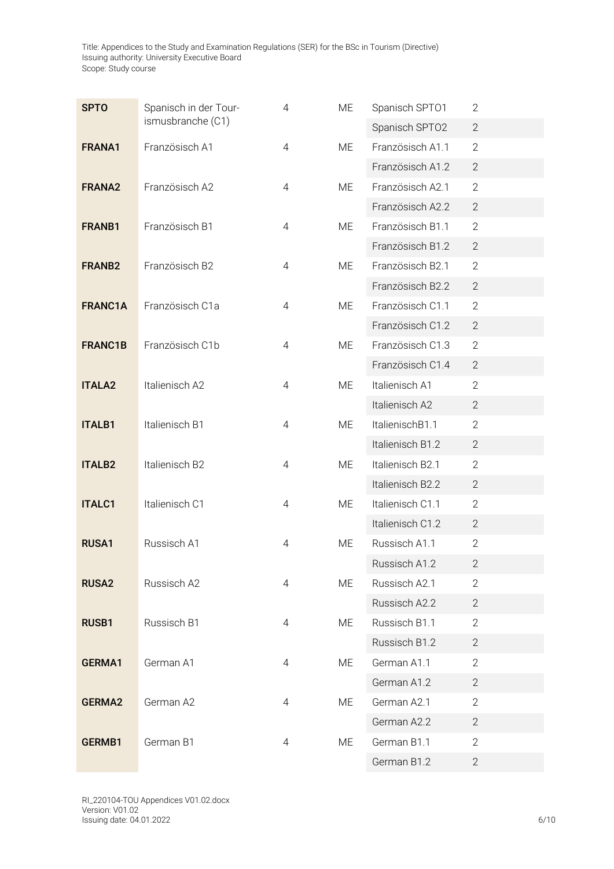| <b>SPTO</b>        | Spanisch in der Tour- | 4              | ME | Spanisch SPT01   | $\mathbf{2}$   |
|--------------------|-----------------------|----------------|----|------------------|----------------|
|                    | ismusbranche (C1)     |                |    | Spanisch SPT02   | $\overline{2}$ |
| FRANA1             | Französisch A1        | 4              | ME | Französisch A1.1 | $\overline{2}$ |
|                    |                       |                |    | Französisch A1.2 | $\mathbf{2}$   |
| <b>FRANA2</b>      | Französisch A2        | $\overline{4}$ | ME | Französisch A2.1 | $\overline{2}$ |
|                    |                       |                |    | Französisch A2.2 | $\overline{2}$ |
| FRANB1             | Französisch B1        | $\overline{4}$ | ME | Französisch B1.1 | $\mathbf{2}$   |
|                    |                       |                |    | Französisch B1.2 | $\overline{2}$ |
| FRANB <sub>2</sub> | Französisch B2        | $\overline{4}$ | ME | Französisch B2.1 | $\overline{2}$ |
|                    |                       |                |    | Französisch B2.2 | $\mathbf{2}$   |
| FRANC1A            | Französisch C1a       | $\overline{4}$ | ME | Französisch C1.1 | $\overline{2}$ |
|                    |                       |                |    | Französisch C1.2 | $\mathbf{2}$   |
| <b>FRANC1B</b>     | Französisch C1b       | 4              | ME | Französisch C1.3 | $\overline{2}$ |
|                    |                       |                |    | Französisch C1.4 | $\mathbf{2}$   |
| <b>ITALA2</b>      | Italienisch A2        | $\overline{4}$ | ME | Italienisch A1   | $\overline{2}$ |
|                    |                       |                |    | Italienisch A2   | $\overline{2}$ |
| <b>ITALB1</b>      | Italienisch B1        | $\overline{4}$ | ME | ItalienischB1.1  | $\overline{2}$ |
|                    |                       |                |    | Italienisch B1.2 | $\overline{2}$ |
| <b>ITALB2</b>      | Italienisch B2        | $\overline{4}$ | ME | Italienisch B2.1 | $\overline{2}$ |
|                    |                       |                |    | Italienisch B2.2 | $\mathbf{2}$   |
| <b>ITALC1</b>      | Italienisch C1        | $\overline{4}$ | ME | Italienisch C1.1 | $\overline{2}$ |
|                    |                       |                |    | Italienisch C1.2 | $\overline{2}$ |
| <b>RUSA1</b>       | Russisch A1           | $\overline{4}$ | ME | Russisch A1.1    | $\overline{2}$ |
|                    |                       |                |    | Russisch A1.2    | $\mathbf{2}$   |
| <b>RUSA2</b>       | Russisch A2           | 4              | ME | Russisch A2.1    | $\overline{2}$ |
|                    |                       |                |    | Russisch A2.2    | $\overline{2}$ |
| <b>RUSB1</b>       | Russisch B1           | $\overline{4}$ | ME | Russisch B1.1    | $\overline{2}$ |
|                    |                       |                |    | Russisch B1.2    | $\mathbf{2}$   |
| GERMA1             | German A1             | $\overline{4}$ | ME | German A1.1      | $\overline{2}$ |
|                    |                       |                |    | German A1.2      | $\mathbf{2}$   |
| <b>GERMA2</b>      | German A2             | 4              | ME | German A2.1      | $\mathbf{2}$   |
|                    |                       |                |    | German A2.2      | $\overline{2}$ |
| GERMB1             | German B1             | $\overline{4}$ | ME | German B1.1      | $\mathbf{2}$   |
|                    |                       |                |    | German B1.2      | $\mathbf{2}$   |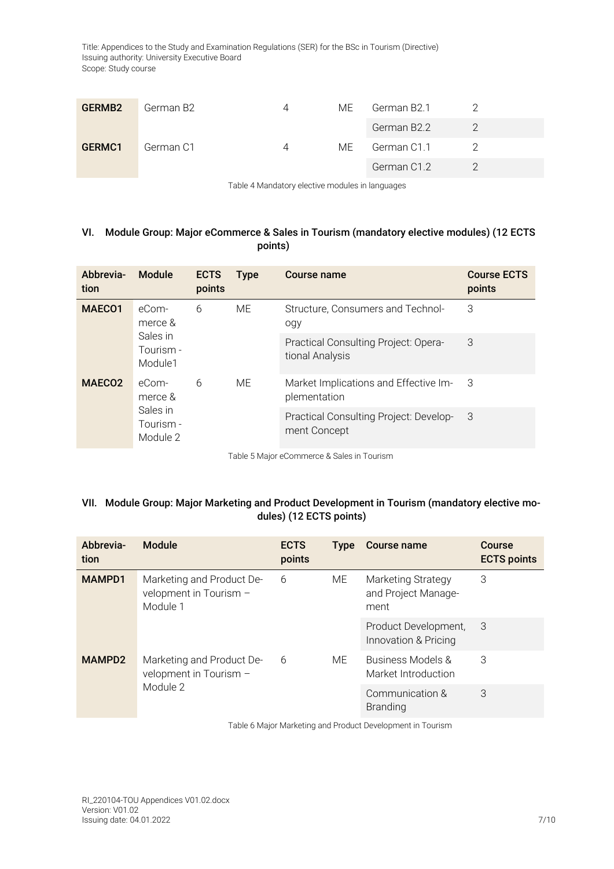| GERMB <sub>2</sub> | German B2 | ME. | German B2.1 |  |
|--------------------|-----------|-----|-------------|--|
|                    |           |     | German B2.2 |  |
| GERMC1             | German C1 | ME  | German C1.1 |  |
|                    |           |     | German C1.2 |  |

Table 4 Mandatory elective modules in languages

## VI. Module Group: Major eCommerce & Sales in Tourism (mandatory elective modules) (12 ECTS points)

| Abbrevia-<br>tion  | Module                                                                  | <b>ECTS</b><br>points | <b>Type</b>                                           | Course name                                             | <b>Course ECTS</b><br>points |
|--------------------|-------------------------------------------------------------------------|-----------------------|-------------------------------------------------------|---------------------------------------------------------|------------------------------|
| MAEC <sub>01</sub> | eCom-<br>merce &<br>Sales in<br>Tourism -<br>Module1                    | 6                     | ME.                                                   | Structure, Consumers and Technol-<br>ogy                | 3                            |
|                    |                                                                         |                       |                                                       | Practical Consulting Project: Opera-<br>tional Analysis | 3                            |
| MAECO <sub>2</sub> | <b>ME</b><br>6<br>eCom-<br>merce &<br>Sales in<br>Tourism -<br>Module 2 |                       | Market Implications and Effective Im-<br>plementation | -3                                                      |                              |
|                    |                                                                         |                       |                                                       | Practical Consulting Project: Develop-<br>ment Concept  | -3                           |

Table 5 Major eCommerce & Sales in Tourism

# VII. Module Group: Major Marketing and Product Development in Tourism (mandatory elective modules) (12 ECTS points)

| Abbrevia-<br>tion | Module                                                          | <b>ECTS</b><br>points | <b>Type</b> | <b>Course name</b>                                | Course<br><b>ECTS points</b> |
|-------------------|-----------------------------------------------------------------|-----------------------|-------------|---------------------------------------------------|------------------------------|
| <b>MAMPD1</b>     | Marketing and Product De-<br>velopment in Tourism -<br>Module 1 | 6                     | МE          | Marketing Strategy<br>and Project Manage-<br>ment | 3                            |
|                   |                                                                 |                       |             | Product Development,<br>Innovation & Pricing      | 3                            |
| <b>MAMPD2</b>     | Marketing and Product De-<br>velopment in Tourism -<br>Module 2 | 6                     | ME.         | Business Models &<br>Market Introduction          | 3                            |
|                   |                                                                 |                       |             | Communication &<br><b>Branding</b>                | 3                            |

Table 6 Major Marketing and Product Development in Tourism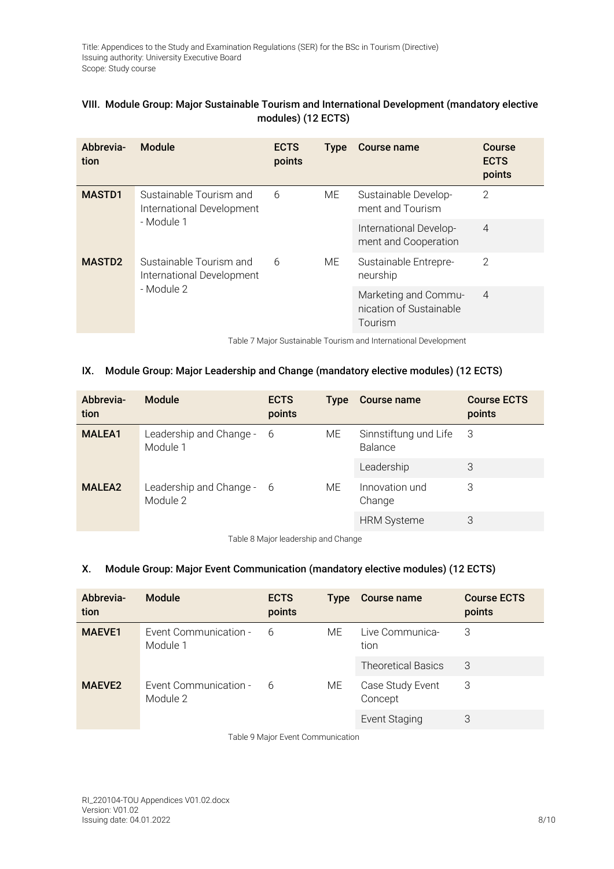| VIII. Module Group: Major Sustainable Tourism and International Development (mandatory elective |
|-------------------------------------------------------------------------------------------------|
| modules) (12 ECTS)                                                                              |

| Abbrevia-<br>tion | Module                                                             | <b>ECTS</b><br>points | <b>Type</b> | Course name                                                | Course<br><b>ECTS</b><br>points |
|-------------------|--------------------------------------------------------------------|-----------------------|-------------|------------------------------------------------------------|---------------------------------|
| <b>MASTD1</b>     | Sustainable Tourism and<br>International Development<br>- Module 1 | 6                     | ME          | Sustainable Develop-<br>ment and Tourism                   | $\overline{2}$                  |
|                   |                                                                    |                       |             | International Develop-<br>ment and Cooperation             | $\overline{4}$                  |
| <b>MASTD2</b>     | Sustainable Tourism and<br>International Development<br>- Module 2 | 6                     | ME          | Sustainable Entrepre-<br>neurship                          | $\overline{2}$                  |
|                   |                                                                    |                       |             | Marketing and Commu-<br>nication of Sustainable<br>Tourism | $\overline{4}$                  |

Table 7 Major Sustainable Tourism and International Development

### IX. Module Group: Major Leadership and Change (mandatory elective modules) (12 ECTS)

| Abbrevia-<br>tion | <b>Module</b>                         | <b>ECTS</b><br>points | <b>Type</b> | Course name                               | <b>Course ECTS</b><br>points |
|-------------------|---------------------------------------|-----------------------|-------------|-------------------------------------------|------------------------------|
| <b>MALEA1</b>     | Leadership and Change - 6<br>Module 1 |                       | МE          | Sinnstiftung und Life 3<br><b>Balance</b> |                              |
|                   |                                       |                       |             | Leadership                                | 3                            |
| <b>MALEA2</b>     | Leadership and Change - 6<br>Module 2 |                       | ME          | Innovation und<br>Change                  | 3                            |
|                   |                                       |                       |             | <b>HRM Systeme</b>                        | 3                            |

Table 8 Major leadership and Change

### X. Module Group: Major Event Communication (mandatory elective modules) (12 ECTS)

| Abbrevia-<br>tion  | <b>Module</b>                     | <b>ECTS</b><br>points | <b>Type</b> | <b>Course name</b>          | <b>Course ECTS</b><br>points |
|--------------------|-----------------------------------|-----------------------|-------------|-----------------------------|------------------------------|
| <b>MAEVE1</b>      | Event Communication -<br>Module 1 | 6                     | ME          | Live Communica-<br>tion     | 3                            |
|                    |                                   |                       |             | <b>Theoretical Basics</b>   | 3                            |
| MAEVE <sub>2</sub> | Event Communication -<br>Module 2 | 6                     | ME.         | Case Study Event<br>Concept | 3                            |
|                    |                                   |                       |             | <b>Event Staging</b>        | 3                            |

Table 9 Major Event Communication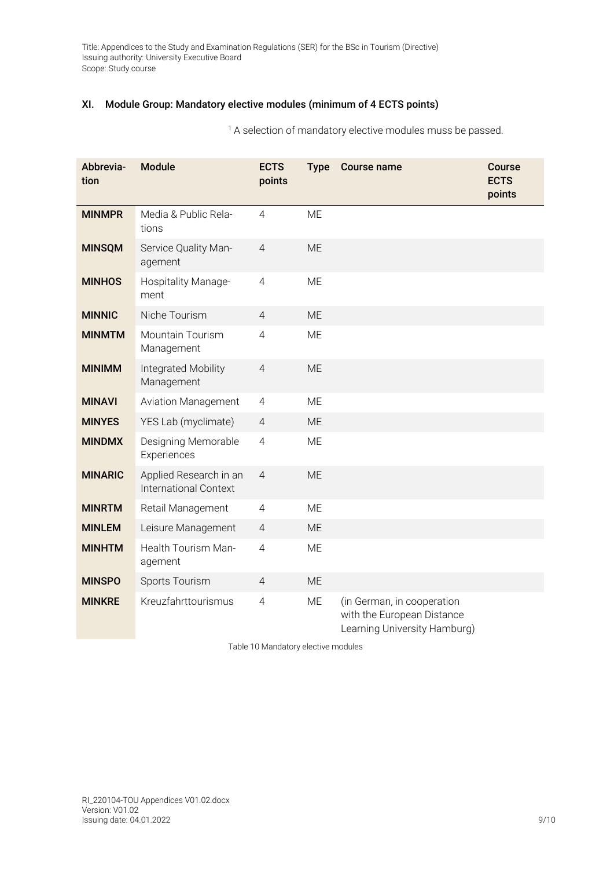# XI. Module Group: Mandatory elective modules (minimum of 4 ECTS points)

<sup>1</sup> A selection of mandatory elective modules muss be passed.

| Abbrevia-<br>tion | <b>Module</b>                                          | <b>ECTS</b><br>points | <b>Type</b> | <b>Course name</b>                                                                       | <b>Course</b><br><b>ECTS</b><br>points |
|-------------------|--------------------------------------------------------|-----------------------|-------------|------------------------------------------------------------------------------------------|----------------------------------------|
| <b>MINMPR</b>     | Media & Public Rela-<br>tions                          | $\overline{4}$        | <b>ME</b>   |                                                                                          |                                        |
| <b>MINSQM</b>     | Service Quality Man-<br>agement                        | $\overline{4}$        | <b>ME</b>   |                                                                                          |                                        |
| <b>MINHOS</b>     | Hospitality Manage-<br>ment                            | $\overline{4}$        | ME          |                                                                                          |                                        |
| <b>MINNIC</b>     | Niche Tourism                                          | $\overline{4}$        | ME          |                                                                                          |                                        |
| <b>MINMTM</b>     | <b>Mountain Tourism</b><br>Management                  | $\overline{4}$        | <b>ME</b>   |                                                                                          |                                        |
| <b>MINIMM</b>     | Integrated Mobility<br>Management                      | $\overline{4}$        | <b>ME</b>   |                                                                                          |                                        |
| <b>MINAVI</b>     | <b>Aviation Management</b>                             | 4                     | <b>ME</b>   |                                                                                          |                                        |
| <b>MINYES</b>     | YES Lab (myclimate)                                    | $\overline{4}$        | <b>ME</b>   |                                                                                          |                                        |
| <b>MINDMX</b>     | Designing Memorable<br>Experiences                     | $\overline{4}$        | ME          |                                                                                          |                                        |
| <b>MINARIC</b>    | Applied Research in an<br><b>International Context</b> | $\overline{4}$        | <b>ME</b>   |                                                                                          |                                        |
| <b>MINRTM</b>     | Retail Management                                      | $\overline{4}$        | <b>ME</b>   |                                                                                          |                                        |
| <b>MINLEM</b>     | Leisure Management                                     | $\overline{4}$        | <b>ME</b>   |                                                                                          |                                        |
| <b>MINHTM</b>     | Health Tourism Man-<br>agement                         | $\overline{4}$        | <b>ME</b>   |                                                                                          |                                        |
| <b>MINSPO</b>     | Sports Tourism                                         | $\overline{4}$        | <b>ME</b>   |                                                                                          |                                        |
| <b>MINKRE</b>     | Kreuzfahrttourismus                                    | $\overline{4}$        | <b>ME</b>   | (in German, in cooperation<br>with the European Distance<br>Learning University Hamburg) |                                        |

Table 10 Mandatory elective modules